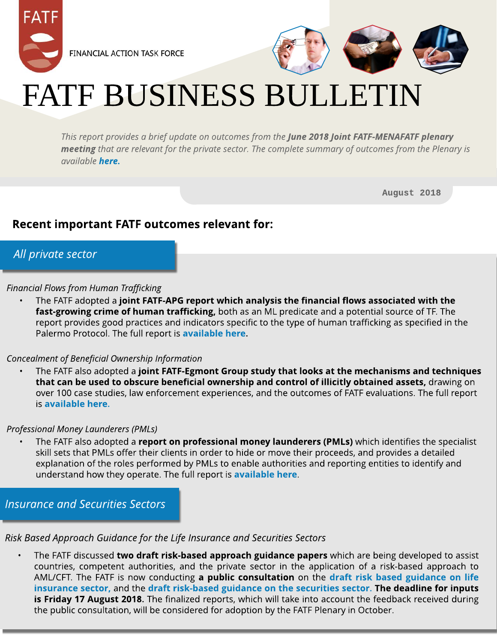



# FATF BUSINESS BULLETIN

**Thisreport providesa brief update on outcomesfrom the June 2018 Joint FATF-MENAFATF plenary meeting that are relevant for the private sector. The complete summary of outcomesfrom the Plenary is available [here.](http://www.fatf-gafi.org/publications/fatfgeneral/documents/outcomes-plenary-june-2018.html)**

August 2018

## Recent important FATF outcomes relevant for:

### **All private sector**

#### **Financial Flowsfrom Human Trafficking**

The FATF adopted a joint FATF-APG report which analysis the financial flows associated with the fast-growing crime of human trafficking, both as an ML predicate and a potential source of TF. The report provides good practices and indicators specific to the type of human trafficking as specified in the Palermo Protocol. The full report is [available](http://www.fatf-gafi.org/media/fatf/content/images/Human-Trafficking-2018.pdf) [here.](http://www.fatf-gafi.org/publications/methodsandtrends/documents/human-trafficking.html)

### **Concealment of Beneficial Ownership Information**

The FATF also adopted a joint FATF-Egmont Group study that looks at the mechanisms and techniques that can be used to obscure beneficial ownership and control of illicitly obtained assets, drawing on over 100 case studies, law enforcement experiences, and the outcomes of FATF evaluations. The full report is [available](http://www.fatf-gafi.org/media/fatf/documents/reports/FATF-Egmont-Concealment-beneficial-ownership.pdf) [here](http://www.fatf-gafi.org/media/fatf/documents/reports/FATF-Egmont-Concealment-beneficial-ownership.pdf).

#### **Professional Money Launderers(PMLs)**

High-risk and other monitored explanation of the roles performed by PMLs to enable authorities and reporting entities to identify and understand how they operate. The full report is **[available](http://www.fatf-gafi.org/media/fatf/documents/Professional-Money-Laundering.pdf) [here](http://www.fatf-gafi.org/media/fatf/documents/Professional-Money-Laundering.pdf)**. The FATF also adopted a report on professional money launderers (PMLs) which identifies the specialist skill sets that PMLs offer their clients in order to hide or move their proceeds, and provides a detailed

**Insurance and Securities Sectors** 

### **Risk Based Approach Guidance for the Life Insurance and Securities Sectors**

The FATF discussed two draft risk-based approach guidance papers which are being developed to assist countries, competent authorities, and the private sector in the applicatio[n](http://www.fatf-gafi.org/publications/fatfgeneral/documents/public-consultation-guidance-life-insurance.html) of a risk-based approach to AML/CFT. The FATF is now conducting a public consultation on the [draft](http://www.fatf-gafi.org/publications/fatfgeneral/documents/public-consultation-guidance-life-insurance.html) [risk](http://www.fatf-gafi.org/publications/fatfgeneral/documents/public-consultation-guidance-life-insurance.html) [based](http://www.fatf-gafi.org/publications/fatfgeneral/documents/public-consultation-guidance-life-insurance.html) [guidance](http://www.fatf-gafi.org/publications/fatfgeneral/documents/public-consultation-guidance-life-insurance.html) [on](http://www.fatf-gafi.org/publications/fatfgeneral/documents/public-consultation-guidance-life-insurance.html) [life](http://www.fatf-gafi.org/publications/fatfgeneral/documents/public-consultation-guidance-life-insurance.html) [insurance](http://www.fatf-gafi.org/publications/fatfgeneral/documents/public-consultation-guidance-life-insurance.html) [sect](http://www.fatf-gafi.org/publications/fatfgeneral/documents/public-consultation-guidance-securities.html)or, and the [draft](http://www.fatf-gafi.org/publications/fatfgeneral/documents/public-consultation-guidance-securities.html) [risk-based](http://www.fatf-gafi.org/publications/fatfgeneral/documents/public-consultation-guidance-securities.html) [guidance](http://www.fatf-gafi.org/publications/fatfgeneral/documents/public-consultation-guidance-securities.html) [on](http://www.fatf-gafi.org/publications/fatfgeneral/documents/public-consultation-guidance-securities.html) t[he](http://www.fatf-gafi.org/publications/fatfgeneral/documents/public-consultation-guidance-securities.html) [securit](http://www.fatf-gafi.org/publications/fatfgeneral/documents/public-consultation-guidance-securities.html)ies sector. The deadline for inputs is Friday 17 August 2018. The finalized reports, which will take into account the feedback received during the public consultation, will be considered for adoption by the FATF Plenary in October.